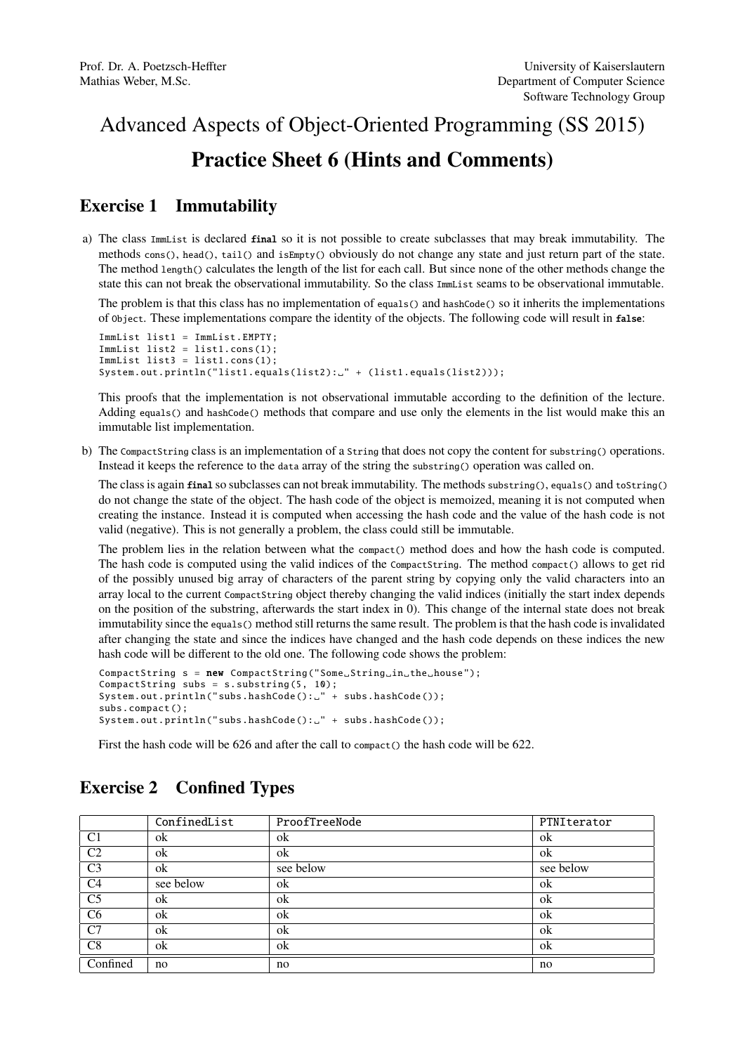## Advanced Aspects of Object-Oriented Programming (SS 2015) Practice Sheet 6 (Hints and Comments)

## Exercise 1 Immutability

a) The class ImmList is declared final so it is not possible to create subclasses that may break immutability. The methods cons(), head(), tail() and isEmpty() obviously do not change any state and just return part of the state. The method length() calculates the length of the list for each call. But since none of the other methods change the state this can not break the observational immutability. So the class ImmList seams to be observational immutable.

The problem is that this class has no implementation of equals() and hashCode() so it inherits the implementations of Object. These implementations compare the identity of the objects. The following code will result in false:

```
ImmList list1 = ImmList.EMPTY;
ImMList list2 = list1.cons(1);
ImMList list3 = list1.coms(1);System.out.println("list1.equals(list2):." + (list1.equals(list2)));
```
This proofs that the implementation is not observational immutable according to the definition of the lecture. Adding equals() and hashCode() methods that compare and use only the elements in the list would make this an immutable list implementation.

b) The CompactString class is an implementation of a String that does not copy the content for substring() operations. Instead it keeps the reference to the data array of the string the substring() operation was called on.

The class is again final so subclasses can not break immutability. The methods substring(), equals() and toString() do not change the state of the object. The hash code of the object is memoized, meaning it is not computed when creating the instance. Instead it is computed when accessing the hash code and the value of the hash code is not valid (negative). This is not generally a problem, the class could still be immutable.

The problem lies in the relation between what the compact() method does and how the hash code is computed. The hash code is computed using the valid indices of the CompactString. The method compact() allows to get rid of the possibly unused big array of characters of the parent string by copying only the valid characters into an array local to the current CompactString object thereby changing the valid indices (initially the start index depends on the position of the substring, afterwards the start index in 0). This change of the internal state does not break immutability since the equals() method still returns the same result. The problem is that the hash code is invalidated after changing the state and since the indices have changed and the hash code depends on these indices the new hash code will be different to the old one. The following code shows the problem:

```
CompactString s = new CompactString ("Some_String_in_the_house");
CompactString subs = s.substring(5, 10);System.out.println("subs.hashCode():." + subs.hashCode());
subs.compact ();
System.out.println("subs.hashCode(): " + subs.hashCode());
```
First the hash code will be 626 and after the call to compact() the hash code will be 622.

|                | ConfinedList | ProofTreeNode | PTNIterator |
|----------------|--------------|---------------|-------------|
| C <sub>1</sub> | ok           | ok            | ok          |
| C <sub>2</sub> | ok           | ok            | ok          |
| C <sub>3</sub> | ok           | see below     | see below   |
| C <sub>4</sub> | see below    | ok            | ok          |
| C <sub>5</sub> | ok           | ok            | ok          |
| C6             | ok           | ok            | ok          |
| C7             | ok           | ok            | ok          |
| C8             | ok           | ok            | ok          |
| Confined       | no           | no            | no          |

## Exercise 2 Confined Types